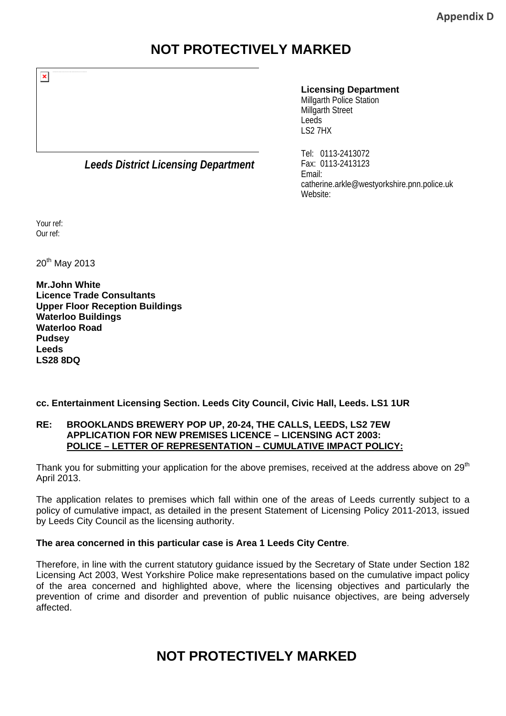### **NOT PROTECTIVELY MARKED**

#### **Licensing Department**

Millgarth Police Station Millgarth Street Leeds LS2 7HX

*Leeds District Licensing Department*

Tel: 0113-2413072 Fax: 0113-2413123 Email: catherine.arkle@westyorkshire.pnn.police.uk Website:

Your ref: Our ref:

20<sup>th</sup> May 2013

**Mr.John White Licence Trade Consultants Upper Floor Reception Buildings Waterloo Buildings Waterloo Road Pudsey Leeds LS28 8DQ** 

### **cc. Entertainment Licensing Section. Leeds City Council, Civic Hall, Leeds. LS1 1UR**

#### **RE: BROOKLANDS BREWERY POP UP, 20-24, THE CALLS, LEEDS, LS2 7EW APPLICATION FOR NEW PREMISES LICENCE – LICENSING ACT 2003: POLICE – LETTER OF REPRESENTATION – CUMULATIVE IMPACT POLICY:**

Thank you for submitting your application for the above premises, received at the address above on  $29<sup>th</sup>$ April 2013.

The application relates to premises which fall within one of the areas of Leeds currently subject to a policy of cumulative impact, as detailed in the present Statement of Licensing Policy 2011-2013, issued by Leeds City Council as the licensing authority.

### **The area concerned in this particular case is Area 1 Leeds City Centre**.

Therefore, in line with the current statutory guidance issued by the Secretary of State under Section 182 Licensing Act 2003, West Yorkshire Police make representations based on the cumulative impact policy of the area concerned and highlighted above, where the licensing objectives and particularly the prevention of crime and disorder and prevention of public nuisance objectives, are being adversely affected.

## **NOT PROTECTIVELY MARKED**

 $\pmb{\times}$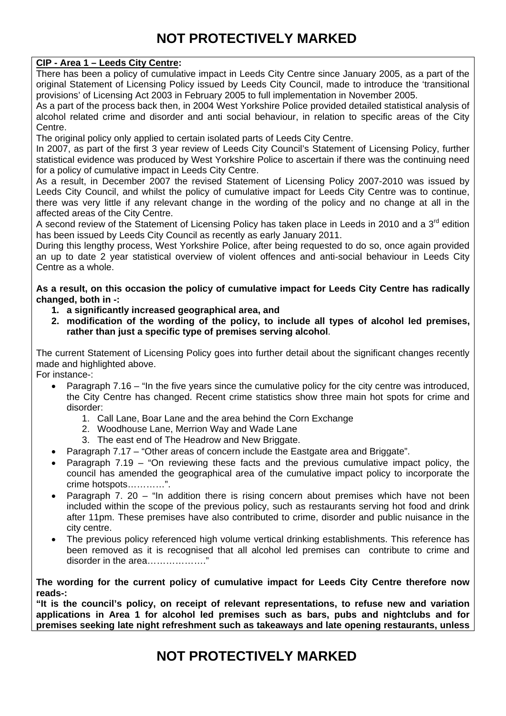# **NOT PROTECTIVELY MARKED**

### **CIP - Area 1 – Leeds City Centre:**

There has been a policy of cumulative impact in Leeds City Centre since January 2005, as a part of the original Statement of Licensing Policy issued by Leeds City Council, made to introduce the 'transitional provisions' of Licensing Act 2003 in February 2005 to full implementation in November 2005.

As a part of the process back then, in 2004 West Yorkshire Police provided detailed statistical analysis of alcohol related crime and disorder and anti social behaviour, in relation to specific areas of the City Centre.

The original policy only applied to certain isolated parts of Leeds City Centre.

In 2007, as part of the first 3 year review of Leeds City Council's Statement of Licensing Policy, further statistical evidence was produced by West Yorkshire Police to ascertain if there was the continuing need for a policy of cumulative impact in Leeds City Centre.

As a result, in December 2007 the revised Statement of Licensing Policy 2007-2010 was issued by Leeds City Council, and whilst the policy of cumulative impact for Leeds City Centre was to continue, there was very little if any relevant change in the wording of the policy and no change at all in the affected areas of the City Centre.

A second review of the Statement of Licensing Policy has taken place in Leeds in 2010 and a 3<sup>rd</sup> edition has been issued by Leeds City Council as recently as early January 2011.

During this lengthy process, West Yorkshire Police, after being requested to do so, once again provided an up to date 2 year statistical overview of violent offences and anti-social behaviour in Leeds City Centre as a whole.

**As a result, on this occasion the policy of cumulative impact for Leeds City Centre has radically changed, both in -:** 

- **1. a significantly increased geographical area, and**
- **2. modification of the wording of the policy, to include all types of alcohol led premises, rather than just a specific type of premises serving alcohol**.

The current Statement of Licensing Policy goes into further detail about the significant changes recently made and highlighted above.

For instance-:

- Paragraph 7.16 "In the five years since the cumulative policy for the city centre was introduced, the City Centre has changed. Recent crime statistics show three main hot spots for crime and disorder:
	- 1. Call Lane, Boar Lane and the area behind the Corn Exchange
	- 2. Woodhouse Lane, Merrion Way and Wade Lane
	- 3. The east end of The Headrow and New Briggate.
- Paragraph 7.17 "Other areas of concern include the Eastgate area and Briggate".
- Paragraph 7.19 "On reviewing these facts and the previous cumulative impact policy, the council has amended the geographical area of the cumulative impact policy to incorporate the crime hotspots…………".
- Paragraph 7. 20 "In addition there is rising concern about premises which have not been included within the scope of the previous policy, such as restaurants serving hot food and drink after 11pm. These premises have also contributed to crime, disorder and public nuisance in the city centre.
- The previous policy referenced high volume vertical drinking establishments. This reference has been removed as it is recognised that all alcohol led premises can contribute to crime and disorder in the area………………."

**The wording for the current policy of cumulative impact for Leeds City Centre therefore now reads-:**

**"It is the council's policy, on receipt of relevant representations, to refuse new and variation applications in Area 1 for alcohol led premises such as bars, pubs and nightclubs and for premises seeking late night refreshment such as takeaways and late opening restaurants, unless** 

**NOT PROTECTIVELY MARKED**